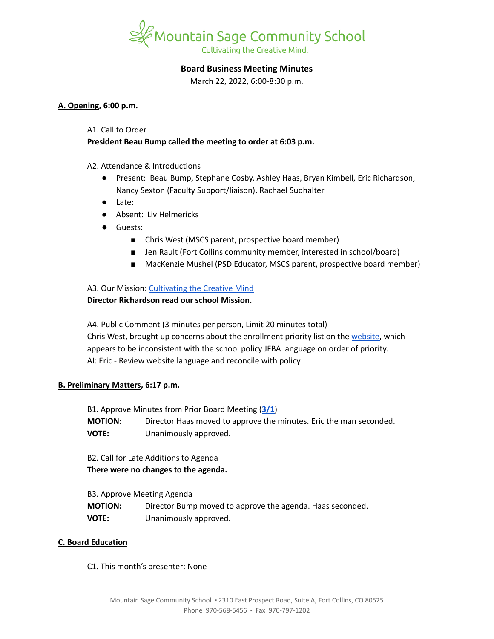

# **Board Business Meeting Minutes**

March 22, 2022, 6:00-8:30 p.m.

#### **A. Opening, 6:00 p.m.**

#### A1. Call to Order

# **President Beau Bump called the meeting to order at 6:03 p.m.**

# A2. Attendance & Introductions

- Present: Beau Bump, Stephane Cosby, Ashley Haas, Bryan Kimbell, Eric Richardson, Nancy Sexton (Faculty Support/liaison), Rachael Sudhalter
- Late:
- Absent: Liv Helmericks
- Guests:
	- Chris West (MSCS parent, prospective board member)
	- Jen Rault (Fort Collins community member, interested in school/board)
	- MacKenzie Mushel (PSD Educator, MSCS parent, prospective board member)

# A3. Our Mission: [Cultivating](https://www.mountainsage.org/about-us/mission-and-vision/) the Creative Mind

# **Director Richardson read our school Mission.**

A4. Public Comment (3 minutes per person, Limit 20 minutes total) Chris West, brought up concerns about the enrollment priority list on the [website,](https://www.mountainsage.org/enroll/enrollment-process/) which appears to be inconsistent with the school policy JFBA language on order of priority. AI: Eric - Review website language and reconcile with policy

# **B. Preliminary Matters, 6:17 p.m.**

B1. Approve Minutes from Prior Board Meeting (**[3/1](https://docs.google.com/document/d/1U66f4fFsyoxVntCM_3iQl6u13-W3GF90yvE94wKc0og/edit?usp=sharing)**) **MOTION:** Director Haas moved to approve the minutes. Eric the man seconded. **VOTE:** Unanimously approved.

B2. Call for Late Additions to Agenda **There were no changes to the agenda.**

| B3. Approve Meeting Agenda |                                                           |
|----------------------------|-----------------------------------------------------------|
| <b>MOTION:</b>             | Director Bump moved to approve the agenda. Haas seconded. |
| <b>VOTE:</b>               | Unanimously approved.                                     |

# **C. Board Education**

# C1. This month's presenter: None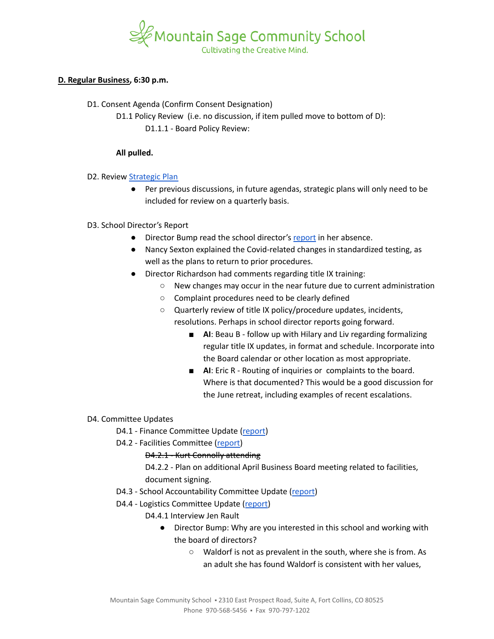

#### **D. Regular Business, 6:30 p.m.**

- D1. Consent Agenda (Confirm Consent Designation)
	- D1.1 Policy Review (i.e. no discussion, if item pulled move to bottom of D): D1.1.1 - Board Policy Review:

#### **All pulled.**

- D2. Review [Strategic](https://docs.google.com/spreadsheets/d/1RR7z4DQ0Oq8Z29iw-TRpzfxcoDyemB4IFJY4Hpq8Y_k/edit?usp=sharing) Plan
	- Per previous discussions, in future agendas, strategic plans will only need to be included for review on a quarterly basis.

# D3. School Director's Report

- Director Bump read the school director's [report](https://docs.google.com/document/d/1VGYsFYcHij7T9aenbC26VBBch5_eMlVPHJUpgBctDGk/edit?usp=sharing) in her absence.
- Nancy Sexton explained the Covid-related changes in standardized testing, as well as the plans to return to prior procedures.
- Director Richardson had comments regarding title IX training:
	- New changes may occur in the near future due to current administration
	- Complaint procedures need to be clearly defined
	- Quarterly review of title IX policy/procedure updates, incidents, resolutions. Perhaps in school director reports going forward.
		- **AI**: Beau B follow up with Hilary and Liv regarding formalizing regular title IX updates, in format and schedule. Incorporate into the Board calendar or other location as most appropriate.
		- **AI**: Eric R Routing of inquiries or complaints to the board. Where is that documented? This would be a good discussion for the June retreat, including examples of recent escalations.

# D4. Committee Updates

- D4.1 Finance Committee Update ([report](https://docs.google.com/document/d/1R-CaOg0lAmRmb3YsiMB4PDS7hcZvmDbi41MmOd2y26E/edit?usp=sharing))
- D4.2 Facilities Committee [\(report\)](https://docs.google.com/document/d/1gKUbyioxfrHf6zq7kh9fWgFIUIfH8JIHEfquYuF5T20/edit?usp=sharing)

# D4.2.1 - Kurt Connolly attending

D4.2.2 - Plan on additional April Business Board meeting related to facilities, document signing.

- D4.3 School Accountability Committee Update [\(report](https://docs.google.com/document/d/1fMtd1Pcjlw39fnp-Y8rxic_UOsDLZ6rofTmgbftNUkk/edit?usp=sharing))
- D4.4 Logistics Committee Update ([report](https://docs.google.com/document/d/1jjtcTD2ldXKem72m8x5lULZkMYd26y-Bud4rkXiOAas/edit?usp=sharing))
	- D4.4.1 Interview Jen Rault
		- Director Bump: Why are you interested in this school and working with the board of directors?
			- Waldorf is not as prevalent in the south, where she is from. As an adult she has found Waldorf is consistent with her values,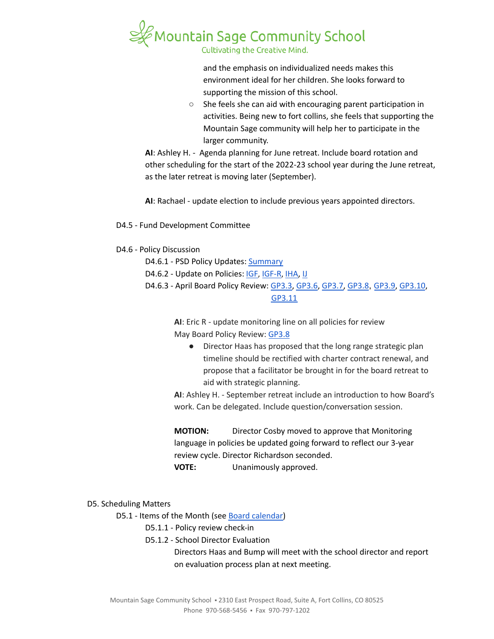

Cultivating the Creative Mind.

and the emphasis on individualized needs makes this environment ideal for her children. She looks forward to supporting the mission of this school.

○ She feels she can aid with encouraging parent participation in activities. Being new to fort collins, she feels that supporting the Mountain Sage community will help her to participate in the larger community.

**AI**: Ashley H. - Agenda planning for June retreat. Include board rotation and other scheduling for the start of the 2022-23 school year during the June retreat, as the later retreat is moving later (September).

**AI**: Rachael - update election to include previous years appointed directors.

D4.5 - Fund Development Committee

# D4.6 - Policy Discussion

- D4.6.1 PSD Policy Updates: [Summary](https://docs.google.com/document/d/1pMrh5jbBunsjqdPwHyCUVhAl5bw4H3ZQZfTp0MNdFAs/edit?usp=sharing)
- D4.6.2 Update on Policies: [IGF](https://drive.google.com/open?id=1YBuMipv4-8akEC1rjji4WdzpHc0a9nuVUP8uPDaN7w8), [IGF-R](https://drive.google.com/open?id=1miaI655qSVx0mkoge_Ogf0wfQe_WHysQOHWy3E8vP_4), [IHA,](https://drive.google.com/open?id=1rMNshX07qFv68v2FzhCZDtcOTvdvQ8-phi6XyMGnv2A) [IJ](https://drive.google.com/open?id=16Apta1Nk1rBYb8051Ha-6trPXjppnsisQfkh4iU4n5I)
- D4.6.3 April Board Policy Review: [GP3.3](https://docs.google.com/document/d/1rCNyuUn-oRMQUnt7UX3Ur8rkx1Y8x7-CkbfRWeG56kU), [GP3.6,](https://docs.google.com/document/d/11NzhXxu-XWrxSQOlW5v21SskME9k9GRrxaxm508bP5I/edit) [GP3.7,](https://docs.google.com/document/d/1373qt1YXZKad8EZGuCRW_oa8Xcf6y9CN5zuFsCV0s18/edit) [GP3.8](https://docs.google.com/document/d/1jQ-h_nZxYr44jzisoAamCD-ZTlqzI_RwpOrxd1MbjgY/edit), [GP3.9](https://docs.google.com/document/d/1i6NGBbxZjvcmJUjud0bdBKC2Fh_S0Oz7ohEMe_sz_Lk/edit), [GP3.10](https://docs.google.com/document/d/1SlF3cHVQfU9alRa-s9YSLYbjkR3MyXITu4wVCfhZyuU/edit), [GP3.11](https://docs.google.com/document/d/1wBiDP8kqKlyJ4ohM3_tg5_pp2Uy8FXx9msG9Vqy2trM/edit)

**AI**: Eric R - update monitoring line on all policies for review May Board Policy Review: [GP3.8](https://drive.google.com/file/d/1MVzVCCua3Qc8a1vRP9jFxAAnLLplfjks/view?usp=sharing)

● Director Haas has proposed that the long range strategic plan timeline should be rectified with charter contract renewal, and propose that a facilitator be brought in for the board retreat to aid with strategic planning.

**AI**: Ashley H. - September retreat include an introduction to how Board's work. Can be delegated. Include question/conversation session.

**MOTION:** Director Cosby moved to approve that Monitoring language in policies be updated going forward to reflect our 3-year review cycle. Director Richardson seconded. **VOTE:** Unanimously approved.

D5. Scheduling Matters

D5.1 - Items of the Month (see Board [calendar\)](https://docs.google.com/document/d/12S6s-qevYMsnj8Cr2yw6uMO7S7hL3gz2oKvXZk5ZndQ/edit?usp=sharing)

D5.1.1 - Policy review check-in

D5.1.2 - School Director Evaluation

Directors Haas and Bump will meet with the school director and report on evaluation process plan at next meeting.